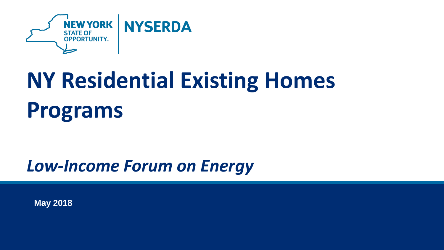

# **NY Residential Existing Homes Programs**

#### *Low-Income Forum on Energy*

**May 2018**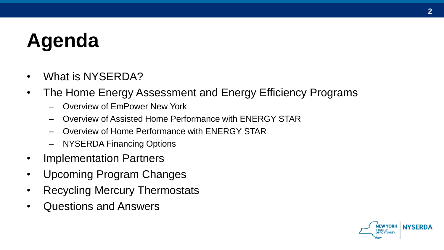# **Agenda**

- What is NYSERDA?
- The Home Energy Assessment and Energy Efficiency Programs
	- Overview of EmPower New York
	- Overview of Assisted Home Performance with ENERGY STAR
	- Overview of Home Performance with ENERGY STAR
	- NYSERDA Financing Options
- Implementation Partners
- Upcoming Program Changes
- Recycling Mercury Thermostats
- Questions and Answers

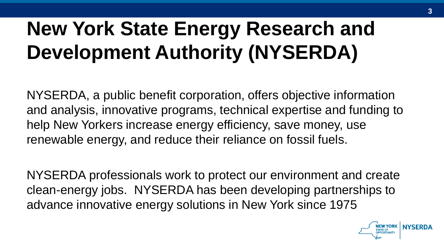## **New York State Energy Research and Development Authority (NYSERDA)**

NYSERDA, a public benefit corporation, offers objective information and analysis, innovative programs, technical expertise and funding to help New Yorkers increase energy efficiency, save money, use renewable energy, and reduce their reliance on fossil fuels.

NYSERDA professionals work to protect our environment and create clean-energy jobs. NYSERDA has been developing partnerships to advance innovative energy solutions in New York since 1975

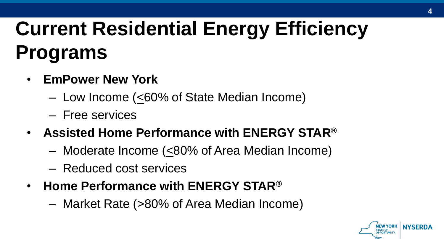# **Current Residential Energy Efficiency Programs**

- **EmPower New York**
	- Low Income (<60% of State Median Income)
	- Free services
- **Assisted Home Performance with ENERGY STAR®**
	- Moderate Income (<80% of Area Median Income)
	- Reduced cost services
- **Home Performance with ENERGY STAR®**
	- Market Rate (>80% of Area Median Income)

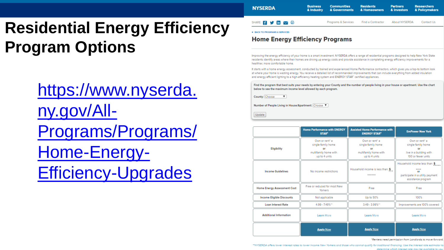### **Residential Energy Efficiency Program Options**

https://www.nyserda. ny.gov/All - [Programs/Programs/](https://www.nyserda.ny.gov/All-Programs/Programs/Home-Energy-Efficiency-Upgrades) Home-Energy-Efficiency -Upgrades

**Business Communities Residents Partners Researchers NYSERDA** & Industry & Governments & Homeowners & Investors **5** SHARE:  $f \lor \infty$ Programs & Services Find a Contractor About NYSERDA Contact Us

**4 BACK TO PROGRAMS & SERVICES** 

#### **Home Energy Efficiency Programs**

Improving the energy efficiency of your home is a smart investment. NYSERDA offers a range of residential programs designed to help New York State residents identify areas where their homes are driving up energy costs and provide assistance in completing energy efficiency improvements for a healthier, more comfortable home.

It starts with a home energy assessment, conducted by trained and experienced Home Performance contractors, which gives you a top-to bottom look at where your home is wasting energy. You receive a detailed list of recommended improvements that can include everything from added insulation and energy efficient lighting to a high-efficiency heating system and ENERGY STAR" certified appliances.

Find the program that best suits your needs by entering your County and the number of people living in your house or apartment. Use the chart below to see the maximum income level allowed by each program.

County: Choose  $\overline{\mathbf{v}}$ 

Number of People Living in House/Apartment: Choose ▼

Update

|                                    | <b>Home Performance with ENERGY</b><br><b>STAR</b> <sup>5</sup>                      | <b>Assisted Home Performance with</b><br><b>ENERGY STAR®</b>                         | <b>EmPower New York</b>                                                                        |
|------------------------------------|--------------------------------------------------------------------------------------|--------------------------------------------------------------------------------------|------------------------------------------------------------------------------------------------|
| <b>Eligibility</b>                 | Own or rent" a<br>single-family home<br>or<br>multifamily home with<br>up to 4 units | Own or rent" a<br>single-family home<br>ΩF<br>multifamily home with<br>up to 4 units | Own or rent" a<br>single-family home<br>or<br>live in a building with<br>100 or fewer units    |
| <b>Income Guidelines</b>           | No income restrictions                                                               | Household income is less than: \$                                                    | Household income less than: \$<br>o٢<br>participate in a utility payment<br>assistance program |
| <b>Home Energy Assessment Cost</b> | Free or reduced for most New<br>Yorkers                                              | Free                                                                                 | Free                                                                                           |
| <b>Income Eligible Discounts</b>   | Not applicable                                                                       | Up to 50%                                                                            | 100%                                                                                           |
| <b>Loan Interest Rate</b>          | 4.99 - 7.49%**                                                                       | $3.49 - 3.99\%$ **                                                                   | Improvements are 100% covered                                                                  |
| <b>Additional Information</b>      | <b>Learn More</b>                                                                    | Learn More                                                                           | Learn More                                                                                     |
|                                    | <b>Apply Now</b>                                                                     | <b>Apply Now</b>                                                                     | <b>Apply Now</b>                                                                               |

\*Renters need permission from Landlords to move forward

\*\*NYSERDA offers lower interest rates to lower income New Yorkers and those who cannot qualify for traditional financing. Use the interest rate estimator to determine which interes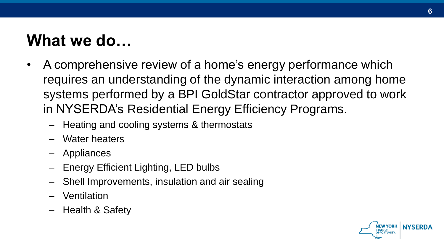### **What we do…**

- A comprehensive review of a home's energy performance which requires an understanding of the dynamic interaction among home systems performed by a BPI GoldStar contractor approved to work in NYSERDA's Residential Energy Efficiency Programs.
	- Heating and cooling systems & thermostats
	- Water heaters
	- **Appliances**
	- Energy Efficient Lighting, LED bulbs
	- Shell Improvements, insulation and air sealing
	- Ventilation
	- Health & Safety

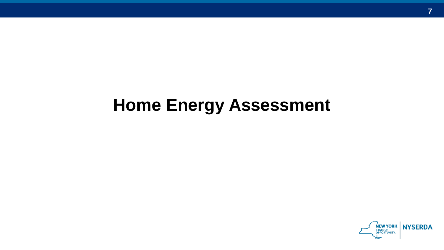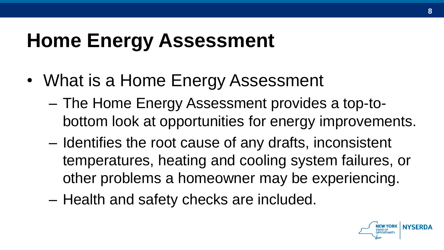- What is a Home Energy Assessment
	- The Home Energy Assessment provides a top-tobottom look at opportunities for energy improvements.
	- Identifies the root cause of any drafts, inconsistent temperatures, heating and cooling system failures, or other problems a homeowner may be experiencing.
	- Health and safety checks are included.

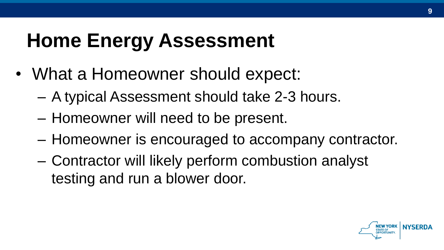- What a Homeowner should expect:
	- A typical Assessment should take 2-3 hours.
	- Homeowner will need to be present.
	- Homeowner is encouraged to accompany contractor.
	- Contractor will likely perform combustion analyst testing and run a blower door.

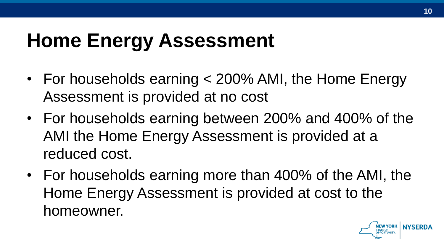- For households earning < 200% AMI, the Home Energy Assessment is provided at no cost
- For households earning between 200% and 400% of the AMI the Home Energy Assessment is provided at a reduced cost.
- For households earning more than 400% of the AMI, the Home Energy Assessment is provided at cost to the homeowner.

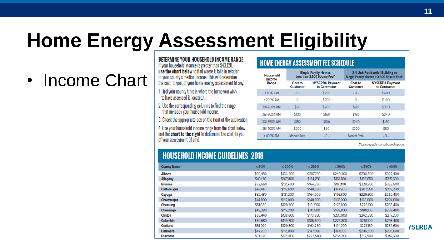### **Home Energy Assessment Eligibility**

### • Income Chart

DETERMINE YOUR HOUSEHOLD INCOME RANGE If your household income is greater than \$43,120. use the chart below to find where it falls in relation to your county's median income. This will determine

the cost, to you, of your home energy assessment (if any).

- 1. Find your county (this is where the home you wish to have assessed is located)
- 2. Use the corresponding columns to find the range that includes your household income.
- 3. Check the appropriate box on the front of the application.
- 4. Use your household income range from the chart below and the **chart to the right** to determine the cost, to you. of your assessment (if any).

#### **HOME ENERGY ASSESSMENT FEE SCHEDULE**

| Household<br>Income | <b>Single-Family Homes</b><br>Less than 3,500 Square Feet" |                                         | 2-4 Unit Residential Building or<br>Single Family Homes ≥ 3,500 Square Feet* |                                         |  |
|---------------------|------------------------------------------------------------|-----------------------------------------|------------------------------------------------------------------------------|-----------------------------------------|--|
| Range               | Cost to<br><b>Customer</b>                                 | <b>NYSERDA Payment</b><br>to Contractor | Cost to<br><b>Customer</b>                                                   | <b>NYSERDA Payment</b><br>to Contractor |  |
| $\leq 80\%$ AMI     | $-0-$                                                      | \$250                                   | $-0-$                                                                        | \$400                                   |  |
| $< 200\%$ AMI       | $-0-$                                                      | \$250                                   | $-0-$                                                                        | \$400                                   |  |
| 201-250% AMI        | \$50                                                       | \$200                                   | \$80                                                                         | \$320                                   |  |
| 251-300% AMI        | \$100                                                      | \$150                                   | \$160                                                                        | \$240                                   |  |
| 301-350% AMI        | \$150                                                      | \$100                                   | \$240                                                                        | \$160                                   |  |
| 351-400% AMI        | \$200                                                      | \$50                                    | \$320                                                                        | \$80                                    |  |
| >400% AMI           | Market Rate                                                | $-0-$                                   | Market Rate                                                                  | $-0-$                                   |  |

"Above grade conditioned space.

| <b>HOUSEHOLD INCOME GUIDELINES 2018</b> |          |           |           |              |           |              |
|-----------------------------------------|----------|-----------|-----------|--------------|-----------|--------------|
| <b>County Name</b>                      | ≤ 80%    | < 200%    | < 250%    | $\leq 300\%$ | ≤ 350%    | $\leq 400\%$ |
| Albany                                  | \$66,480 | \$166,200 | \$207.750 | \$249,300    | \$290,850 | \$332,400    |
| Allegany                                | \$43,120 | \$107,800 | \$134.750 | \$161,700    | \$188,650 | \$215,600    |
| <b>Broome</b>                           | \$52,560 | \$131.400 | \$164,250 | \$197,100    | \$229.950 | \$262,800    |
| Cattaraugus                             | \$47,440 | \$118,600 | \$148.250 | \$177,900    | \$207,550 | \$237,200    |
| Cayuga                                  | \$52,480 | \$131,200 | \$164,000 | \$196,800    | \$229,600 | \$262.400    |
| Chautaugua                              | \$44,800 | \$112,000 | \$140,000 | \$168,000    | \$196,000 | \$224,000    |
| Chemung                                 | \$51,680 | \$129,200 | \$161,500 | \$193,800    | \$226,100 | \$258,400    |
| Chenango                                | \$45.280 | \$113,200 | \$141,500 | \$169,800    | \$198,100 | \$226,400    |
| Clinton                                 | \$55.440 | \$138,600 | \$173,250 | \$207,900    | \$242,550 | \$277,200    |
| Columbia                                | \$59,680 | \$149,200 | \$186,500 | \$223,800    | \$261,100 | \$298,400    |
| Cortland                                | \$51,920 | \$129,800 | \$162,250 | \$194,700    | \$227,150 | \$259,600    |
| <b>Delaware</b>                         | \$47,200 | \$118,000 | \$147,500 | \$177,000    | \$206,500 | \$236,000    |
| <b>Dutchess</b>                         | \$71,520 | \$178,800 | \$223,500 | \$268,200    | \$312,900 | \$357.600    |

#### *<u>YSERDA</u>*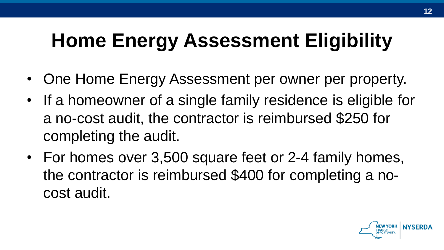## **Home Energy Assessment Eligibility**

- One Home Energy Assessment per owner per property.
- If a homeowner of a single family residence is eligible for a no-cost audit, the contractor is reimbursed \$250 for completing the audit.
- For homes over 3,500 square feet or 2-4 family homes, the contractor is reimbursed \$400 for completing a nocost audit.

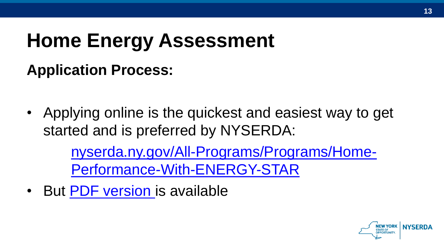### **Application Process:**

• Applying online is the quickest and easiest way to get started and is preferred by NYSERDA:

> [nyserda.ny.gov/All-Programs/Programs/Home-](https://www.nyserda.ny.gov/All-Programs/Programs/Home-Performance-With-ENERGY-STAR)Performance-With-ENERGY-STAR

• But [PDF version i](http://hpwescontractorsupport.com/wp-content/uploads/2016/08/3.2-HPwES-Assessment-Application_12_16.pdf)s available

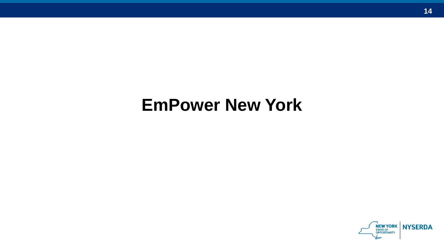### **EmPower New York**

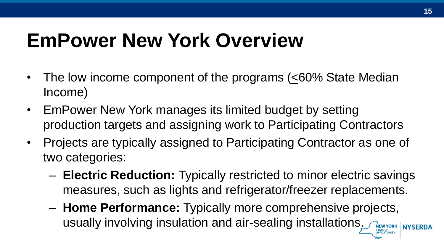### **EmPower New York Overview**

- The low income component of the programs  $( \leq 60\%$  State Median Income)
- EmPower New York manages its limited budget by setting production targets and assigning work to Participating Contractors
- Projects are typically assigned to Participating Contractor as one of two categories:
	- **Electric Reduction:** Typically restricted to minor electric savings measures, such as lights and refrigerator/freezer replacements.
	- **Home Performance:** Typically more comprehensive projects, usually involving insulation and air-sealing installations. THEW YORK | NYSERDA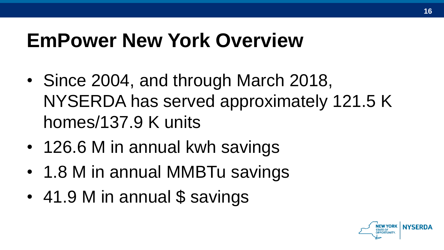### **EmPower New York Overview**

- Since 2004, and through March 2018, NYSERDA has served approximately 121.5 K homes/137.9 K units
- 126.6 M in annual kwh savings
- 1.8 M in annual MMBTu savings
- 41.9 M in annual \$ savings

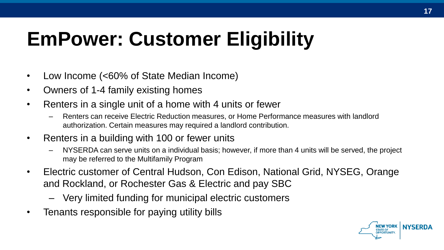## **EmPower: Customer Eligibility**

- Low Income (<60% of State Median Income)
- Owners of 1-4 family existing homes
- Renters in a single unit of a home with 4 units or fewer
	- Renters can receive Electric Reduction measures, or Home Performance measures with landlord authorization. Certain measures may required a landlord contribution.
- Renters in a building with 100 or fewer units
	- NYSERDA can serve units on a individual basis; however, if more than 4 units will be served, the project may be referred to the Multifamily Program
- Electric customer of Central Hudson, Con Edison, National Grid, NYSEG, Orange and Rockland, or Rochester Gas & Electric and pay SBC
	- Very limited funding for municipal electric customers
- Tenants responsible for paying utility bills

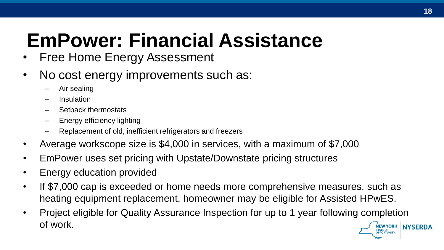### **EmPower: Financial Assistance**

- **Free Home Energy Assessment**
- No cost energy improvements such as:
	- Air sealing
	- **Insulation**
	- Setback thermostats
	- Energy efficiency lighting
	- Replacement of old, inefficient refrigerators and freezers
- Average workscope size is \$4,000 in services, with a maximum of \$7,000
- EmPower uses set pricing with Upstate/Downstate pricing structures
- Energy education provided
- If \$7,000 cap is exceeded or home needs more comprehensive measures, such as heating equipment replacement, homeowner may be eligible for Assisted HPwES.
- Project eligible for Quality Assurance Inspection for up to 1 year following completion of work.NEW YORK NYSERDA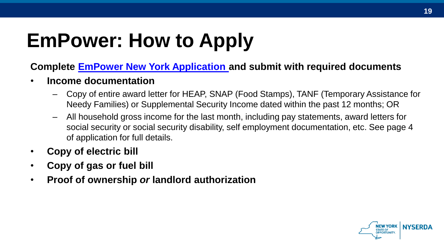## **EmPower: How to Apply**

#### **Complete [EmPower New York Application a](https://www.nyserda.ny.gov/-/media/Files/EERP/Residential/Programs/EmPower/EmPower-Application.pdf)nd submit with required documents**

- **Income documentation**
	- Copy of entire award letter for HEAP, SNAP (Food Stamps), TANF (Temporary Assistance for Needy Families) or Supplemental Security Income dated within the past 12 months; OR
	- All household gross income for the last month, including pay statements, award letters for social security or social security disability, self employment documentation, etc. See page 4 of application for full details.
- **Copy of electric bill**
- **Copy of gas or fuel bill**
- **Proof of ownership** *or* **landlord authorization**

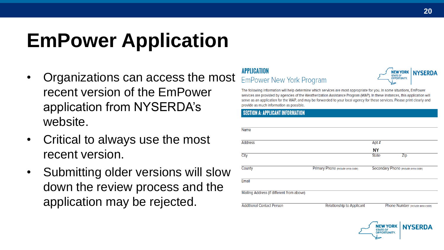### **EmPower Application**

- Organizations can access the most recent version of the EmPower application from NYSERDA's website.
- Critical to always use the most recent version.
- Submitting older versions will slow down the review process and the application may be rejected.

#### **APPIICATION EmPower New York Program**



The following information will help determine which services are most appropriate for you. In some situations, EmPower services are provided by agencies of the Weatherization Assistance Program (WAP). In these instances, this application will serve as an application for the WAP, and may be forwarded to your local agency for these services. Please print clearly and provide as much information as possible

#### **SECTION A: APPLICANT INFORMATION**

| <b>Name</b>                               |                                   |                                     |                                  |
|-------------------------------------------|-----------------------------------|-------------------------------------|----------------------------------|
| <b>Address</b>                            |                                   | Apt #                               |                                  |
|                                           |                                   | <b>NY</b>                           |                                  |
| <b>Clty</b>                               |                                   | <b>State</b>                        | ZIp                              |
| County                                    | Primary Phone (include area code) | Secondary Phone (include area code) |                                  |
| Email                                     |                                   |                                     |                                  |
| Mailing Address (if different from above) |                                   |                                     |                                  |
| <b>Additional Contact Person</b>          | <b>Relationship to Applicant</b>  |                                     | Phone Number (include area code) |

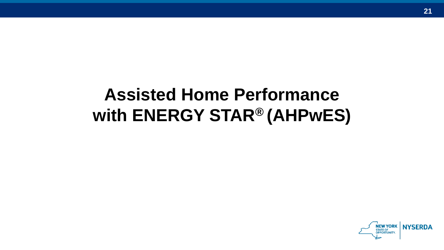### **Assisted Home Performance with ENERGY STAR® (AHPwES)**

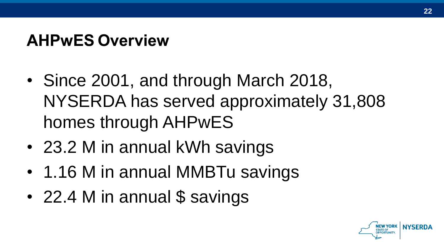### **AHPwES Overview**

- Since 2001, and through March 2018, NYSERDA has served approximately 31,808 homes through AHPwES
- 23.2 M in annual kWh savings
- 1.16 M in annual MMBTu savings
- 22.4 M in annual \$ savings

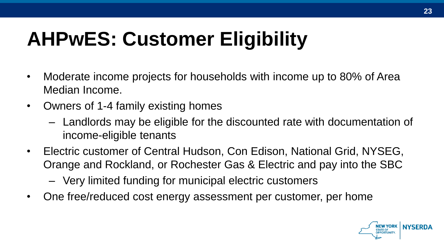## **AHPwES: Customer Eligibility**

- Moderate income projects for households with income up to 80% of Area Median Income.
- Owners of 1-4 family existing homes
	- Landlords may be eligible for the discounted rate with documentation of income-eligible tenants
- Electric customer of Central Hudson, Con Edison, National Grid, NYSEG, Orange and Rockland, or Rochester Gas & Electric and pay into the SBC
	- Very limited funding for municipal electric customers
- One free/reduced cost energy assessment per customer, per home

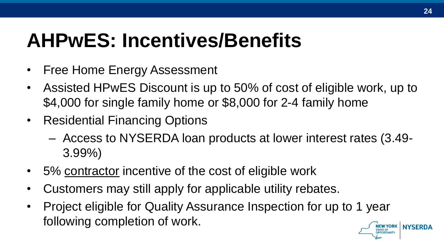### **AHPwES: Incentives/Benefits**

- Free Home Energy Assessment
- Assisted HPwES Discount is up to 50% of cost of eligible work, up to \$4,000 for single family home or \$8,000 for 2-4 family home
- Residential Financing Options
	- Access to NYSERDA loan products at lower interest rates (3.49- 3.99%)
- 5% contractor incentive of the cost of eligible work
- Customers may still apply for applicable utility rebates.
- Project eligible for Quality Assurance Inspection for up to 1 year following completion of work.NEW YORK NYSERDA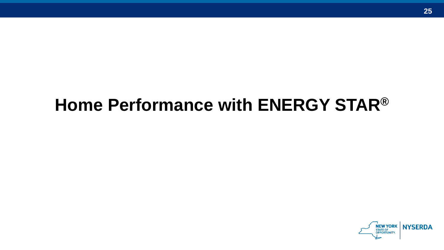### **Home Performance with ENERGY STAR®**

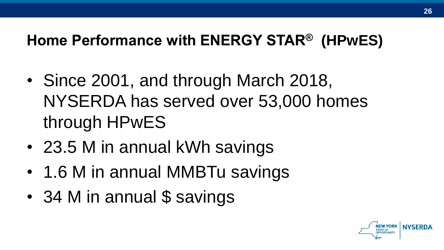#### **Home Performance with ENERGY STAR® (HPwES)**

- Since 2001, and through March 2018, NYSERDA has served over 53,000 homes through HPwES
- 23.5 M in annual kWh savings
- 1.6 M in annual MMBTu savings
- 34 M in annual \$ savings

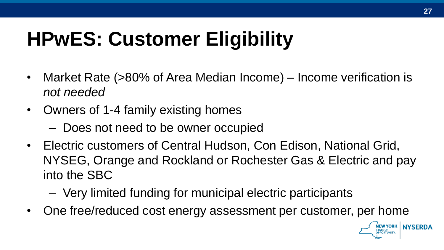# **HPwES: Customer Eligibility**

- Market Rate (>80% of Area Median Income) Income verification is *not needed*
- Owners of 1-4 family existing homes
	- Does not need to be owner occupied
- Electric customers of Central Hudson, Con Edison, National Grid, NYSEG, Orange and Rockland or Rochester Gas & Electric and pay into the SBC
	- Very limited funding for municipal electric participants
- One free/reduced cost energy assessment per customer, per home

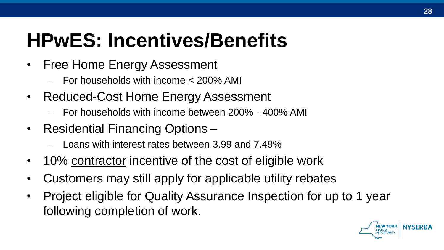### **HPwES: Incentives/Benefits**

- Free Home Energy Assessment
	- For households with income < 200% AMI
- Reduced-Cost Home Energy Assessment
	- For households with income between 200% 400% AMI
- Residential Financing Options
	- Loans with interest rates between 3.99 and 7.49%
- 10% contractor incentive of the cost of eligible work
- Customers may still apply for applicable utility rebates
- Project eligible for Quality Assurance Inspection for up to 1 year following completion of work.

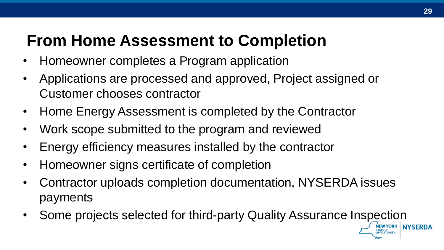### **From Home Assessment to Completion**

- Homeowner completes a Program application
- Applications are processed and approved, Project assigned or Customer chooses contractor
- Home Energy Assessment is completed by the Contractor
- Work scope submitted to the program and reviewed
- Energy efficiency measures installed by the contractor
- Homeowner signs certificate of completion
- Contractor uploads completion documentation, NYSERDA issues payments
- Some projects selected for third-party Quality Assurance Inspection

**NYSERDA**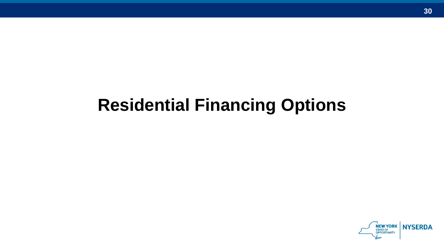### **Residential Financing Options**

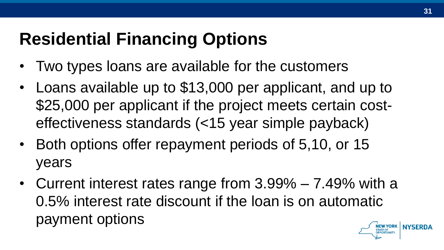### **Residential Financing Options**

- Two types loans are available for the customers
- Loans available up to \$13,000 per applicant, and up to \$25,000 per applicant if the project meets certain costeffectiveness standards (<15 year simple payback)
- Both options offer repayment periods of 5,10, or 15 years
- Current interest rates range from 3.99% 7.49% with a 0.5% interest rate discount if the loan is on automatic payment options**NYSFRDA**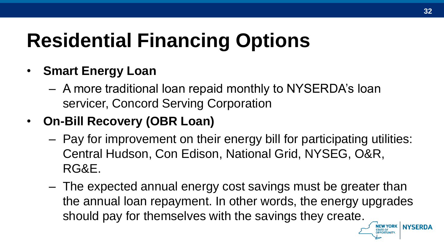## **Residential Financing Options**

- **Smart Energy Loan**
	- A more traditional loan repaid monthly to NYSERDA's loan servicer, Concord Serving Corporation
- **On-Bill Recovery (OBR Loan)**
	- Pay for improvement on their energy bill for participating utilities: Central Hudson, Con Edison, National Grid, NYSEG, O&R, RG&E.
	- The expected annual energy cost savings must be greater than the annual loan repayment. In other words, the energy upgrades should pay for themselves with the savings they create.

**LEW YORK | NYSERDA**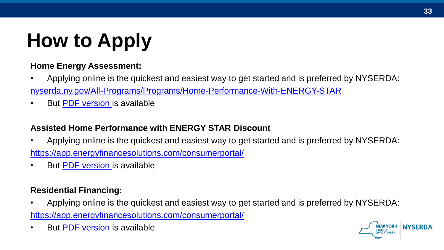# **How to Apply**

#### **Home Energy Assessment:**

- Applying online is the quickest and easiest way to get started and is preferred by NYSERDA: [nyserda.ny.gov/All-Programs/Programs/Home-Performance-With-ENERGY-STAR](https://www.nyserda.ny.gov/All-Programs/Programs/Home-Performance-With-ENERGY-STAR)
- But [PDF version i](http://hpwescontractorsupport.com/wp-content/uploads/2016/08/3.2-HPwES-Assessment-Application_12_16.pdf)s available

#### **Assisted Home Performance with ENERGY STAR Discount**

- Applying online is the quickest and easiest way to get started and is preferred by NYSERDA: <https://app.energyfinancesolutions.com/consumerportal/>
- But [PDF version i](http://energyfinancesolutions.com/sites/energyfinancesolutions.com/files/pdfs/ny-credit-income-screen-app.pdf)s available

#### **Residential Financing:**

- Applying online is the quickest and easiest way to get started and is preferred by NYSERDA: <https://app.energyfinancesolutions.com/consumerportal/>
- But [PDF version i](http://energyfinancesolutions.com/sites/energyfinancesolutions.com/files/pdfs/ny-credit-and-income-screening-application.pdf)s available

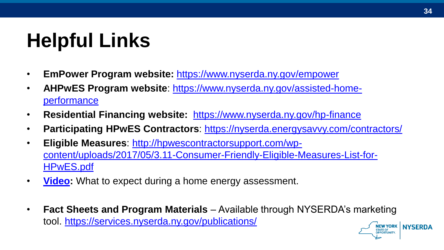## **Helpful Links**

- **EmPower Program website:** <https://www.nyserda.ny.gov/empower>
- **AHPwES Program website**[: https://www.nyserda.ny.gov/assisted-home](https://www.nyserda.ny.gov/assisted-home-performance)performance
- **Residential Financing website:** <https://www.nyserda.ny.gov/hp-finance>
- **Participating HPwES Contractors**: <https://nyserda.energysavvy.com/contractors/>
- **Eligible Measures**: http://hpwescontractorsupport.com/wp[content/uploads/2017/05/3.11-Consumer-Friendly-Eligible-Measures-List-for-](http://hpwescontractorsupport.com/wp-content/uploads/2017/05/3.11-Consumer-Friendly-Eligible-Measures-List-for-HPwES.pdf)HPwES.pdf
- **[Video](http://stars.nyserdagreenny.org/testimonials):** What to expect during a home energy assessment.
- **Fact Sheets and Program Materials**  Available through NYSERDA's marketing tool. <https://services.nyserda.ny.gov/publications/>NEW YORK NYSERDA

**OPPORTUNITY.**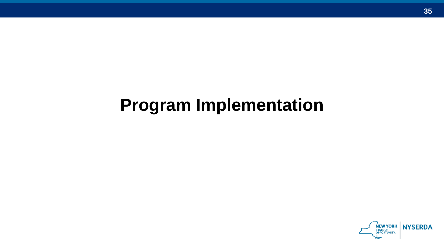### **Program Implementation**

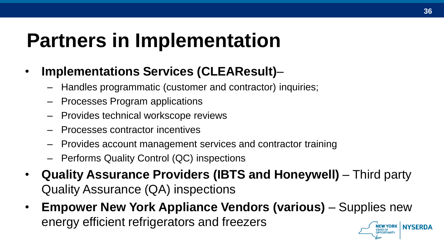### **Partners in Implementation**

- **Implementations Services (CLEAResult)**
	- Handles programmatic (customer and contractor) inquiries;
	- Processes Program applications
	- Provides technical workscope reviews
	- Processes contractor incentives
	- Provides account management services and contractor training
	- Performs Quality Control (QC) inspections
- **Quality Assurance Providers (IBTS and Honeywell)**  Third party Quality Assurance (QA) inspections
- **Empower New York Appliance Vendors (various)**  Supplies new energy efficient refrigerators and freezersNEW YORK NYSERDA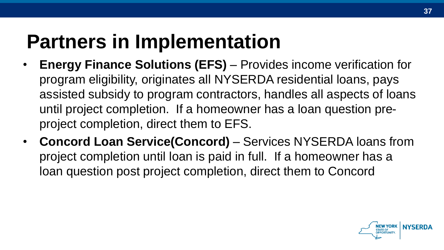### **Partners in Implementation**

- **Energy Finance Solutions (EFS)**  Provides income verification for program eligibility, originates all NYSERDA residential loans, pays assisted subsidy to program contractors, handles all aspects of loans until project completion. If a homeowner has a loan question preproject completion, direct them to EFS.
- **Concord Loan Service(Concord)**  Services NYSERDA loans from project completion until loan is paid in full. If a homeowner has a loan question post project completion, direct them to Concord

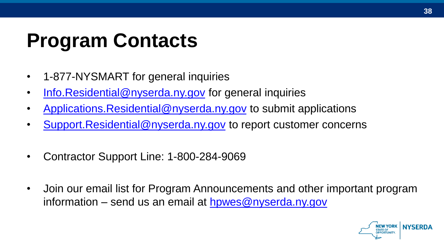### **Program Contacts**

- 1-877-NYSMART for general inquiries
- [Info.Residential@nyserda.ny.gov](mailto:Info.Residential@nyserda.ny.gov) for general inquiries
- Applications. Residential@nyserda.ny.gov to submit applications
- [Support.Residential@nyserda.ny.gov](mailto:Support.Residential@nyserda.ny.gov) to report customer concerns
- Contractor Support Line: 1-800-284-9069
- Join our email list for Program Announcements and other important program information – send us an email at  $h$ pwes@nyserda.ny.gov

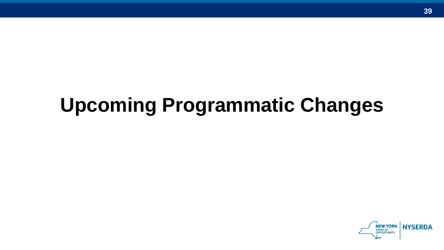### **Upcoming Programmatic Changes**

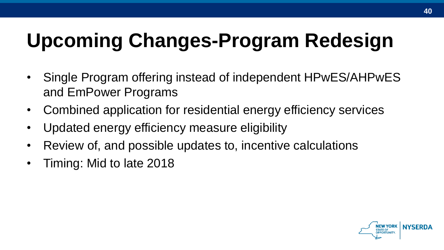## **Upcoming Changes-Program Redesign**

- Single Program offering instead of independent HPwES/AHPwES and EmPower Programs
- Combined application for residential energy efficiency services
- Updated energy efficiency measure eligibility
- Review of, and possible updates to, incentive calculations
- Timing: Mid to late 2018

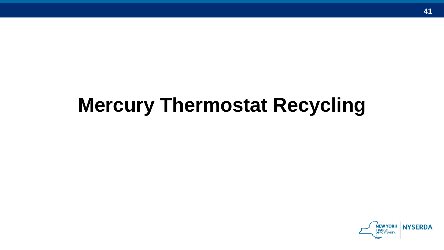### **Mercury Thermostat Recycling**

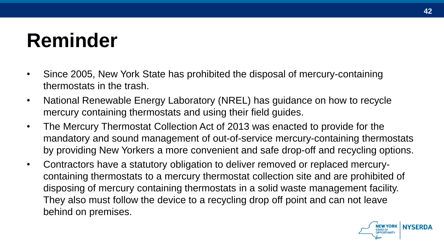### **Reminder**

- Since 2005, New York State has prohibited the disposal of mercury-containing thermostats in the trash.
- National Renewable Energy Laboratory (NREL) has guidance on how to recycle mercury containing thermostats and using their field guides.
- The Mercury Thermostat Collection Act of 2013 was enacted to provide for the mandatory and sound management of out-of-service mercury-containing thermostats by providing New Yorkers a more convenient and safe drop-off and recycling options.
- Contractors have a statutory obligation to deliver removed or replaced mercurycontaining thermostats to a mercury thermostat collection site and are prohibited of disposing of mercury containing thermostats in a solid waste management facility. They also must follow the device to a recycling drop off point and can not leave behind on premises.

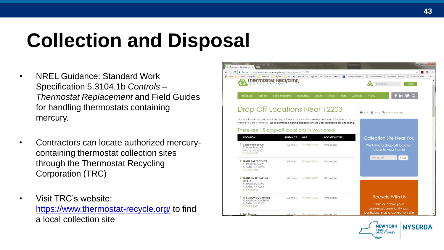### **Collection and Disposal**

- NREL Guidance: Standard Work Specification 5.3104.1b *Controls – Thermostat Replacement* and Field Guides for handling thermostats containing mercury.
- Contractors can locate authorized mercurycontaining thermostat collection sites through the Thermostat Recycling Corporation (TRC)
- Visit TRC's website: <https://www.thermostat-recycle.org/> to find a local collection site



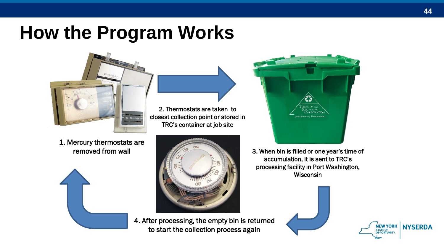### **How the Program Works**



2. Thermostats are taken to closest collection point or stored in TRC's container at job site

1. Mercury thermostats are removed from wall





4. After processing, the empty bin is returned to start the collection process again



3. When bin is filled or one year's time of accumulation, it is sent to TRC's processing facility in Port Washington, **Wisconsin** 



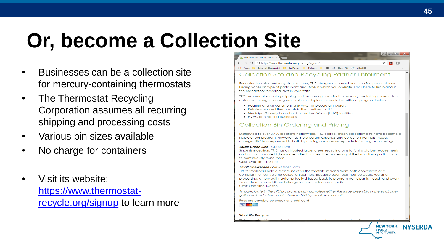# **Or, become a Collection Site**

- Businesses can be a collection site for mercury-containing thermostats
- The Thermostat Recycling Corporation assumes all recurring shipping and processing costs
- Various bin sizes available
- No charge for containers
- Visit its website: [https://www.thermostat](https://www.thermostat-recycle.org/signup)recycle.org/signup to learn more

|                    | <b>A</b> Become a Mercury Therm $\times$                                          |    |  | × |
|--------------------|-----------------------------------------------------------------------------------|----|--|---|
|                    | $\vdash \rightarrow C$   10 https://www.thermostat-recycle.org/signup/            | 17 |  |   |
| $\frac{1}{2}$ Apps | GIS 4 Open NY E .QACSS<br><b>External Sharepoint</b><br><b>EmPower</b><br>Folders |    |  |   |
|                    |                                                                                   |    |  |   |

#### Collection Site and Recycling Partner Enrollment

For collection sites and recycling partners. TRC charges a nominal one-time fee per container. Pricing varies on type of participant and state in which you operate. Click here to learn about the mandatory recycling laws in your state.

TRC assumes all recurring shipping and processing costs for the mercury-containing thermostats collected through the program. Businesses typically associated with our program include:

- . Heating and air conditioning (HVAC) wholesale distributors
- Retailers who sell thermostats in the continental U.S.
- . Municipal/County Household Hazardous Waste (HHW) facilities
- HVAC contractina businesses

#### Collection Bin Ordering and Pricing

Distributed to over 3,400 locations nationwide, TRC's large, green collection bins have become a staple of our program. However, as the program expands and collection partners' needs change. TRC has responded to both by adding a smaller receptacle to its program offerings.

#### Large Green Bins - Order Form

Since its inception, TRC has distributed large, green recycling bins to fulfill statutory requirements and accommodate high-volume collection sites. The processing of the bins allows participants to continuously reuse them. Cost: One-time \$25 fee

#### **Small One-Gallon Palls - Order Form**

TRC's small pails hold a maximum of six thermostats, making them both convenient and compliant for low-volume collection partners. Because each pail must be destroyed after processing, a new pail is automatically shipped back to program participants - each and every time. There is no additional charge for new replacement pails. Cost: One-time \$25 fee

To participate in the TRC program, simply complete either the large green bin or the small onegallon pail order form and submit to TRC by email, fax, or mail.

Fees are payable by check or credit card

VISA Newton Newton

#### **What We Recycle**